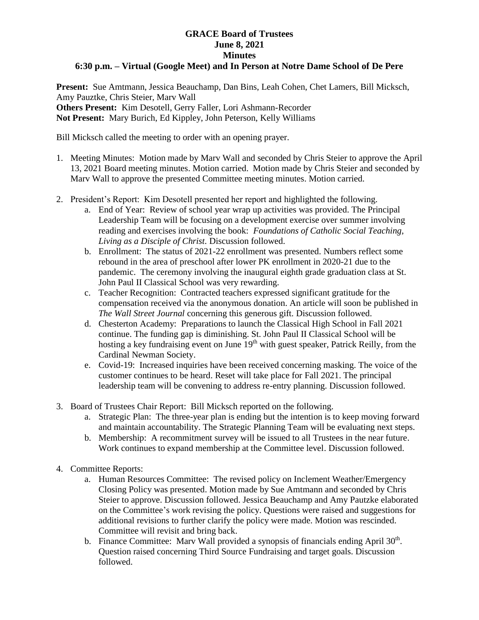## **GRACE Board of Trustees June 8, 2021 Minutes**

## **6:30 p.m. – Virtual (Google Meet) and In Person at Notre Dame School of De Pere**

**Present:** Sue Amtmann, Jessica Beauchamp, Dan Bins, Leah Cohen, Chet Lamers, Bill Micksch, Amy Pauztke, Chris Steier, Marv Wall **Others Present:** Kim Desotell, Gerry Faller, Lori Ashmann-Recorder **Not Present:** Mary Burich, Ed Kippley, John Peterson, Kelly Williams

Bill Micksch called the meeting to order with an opening prayer.

- 1. Meeting Minutes: Motion made by Marv Wall and seconded by Chris Steier to approve the April 13, 2021 Board meeting minutes. Motion carried. Motion made by Chris Steier and seconded by Marv Wall to approve the presented Committee meeting minutes. Motion carried.
- 2. President's Report: Kim Desotell presented her report and highlighted the following.
	- a. End of Year: Review of school year wrap up activities was provided. The Principal Leadership Team will be focusing on a development exercise over summer involving reading and exercises involving the book: *Foundations of Catholic Social Teaching, Living as a Disciple of Christ.* Discussion followed.
	- b. Enrollment: The status of 2021-22 enrollment was presented. Numbers reflect some rebound in the area of preschool after lower PK enrollment in 2020-21 due to the pandemic. The ceremony involving the inaugural eighth grade graduation class at St. John Paul II Classical School was very rewarding.
	- c. Teacher Recognition: Contracted teachers expressed significant gratitude for the compensation received via the anonymous donation. An article will soon be published in *The Wall Street Journal* concerning this generous gift*.* Discussion followed.
	- d. Chesterton Academy: Preparations to launch the Classical High School in Fall 2021 continue. The funding gap is diminishing. St. John Paul II Classical School will be hosting a key fundraising event on June 19<sup>th</sup> with guest speaker, Patrick Reilly, from the Cardinal Newman Society.
	- e. Covid-19: Increased inquiries have been received concerning masking. The voice of the customer continues to be heard. Reset will take place for Fall 2021. The principal leadership team will be convening to address re-entry planning. Discussion followed.
- 3. Board of Trustees Chair Report: Bill Micksch reported on the following.
	- a. Strategic Plan: The three-year plan is ending but the intention is to keep moving forward and maintain accountability. The Strategic Planning Team will be evaluating next steps.
	- b. Membership: A recommitment survey will be issued to all Trustees in the near future. Work continues to expand membership at the Committee level. Discussion followed.
- 4. Committee Reports:
	- a. Human Resources Committee: The revised policy on Inclement Weather/Emergency Closing Policy was presented. Motion made by Sue Amtmann and seconded by Chris Steier to approve. Discussion followed. Jessica Beauchamp and Amy Pautzke elaborated on the Committee's work revising the policy. Questions were raised and suggestions for additional revisions to further clarify the policy were made. Motion was rescinded. Committee will revisit and bring back.
	- b. Finance Committee: Marv Wall provided a synopsis of financials ending April  $30<sup>th</sup>$ . Question raised concerning Third Source Fundraising and target goals. Discussion followed.